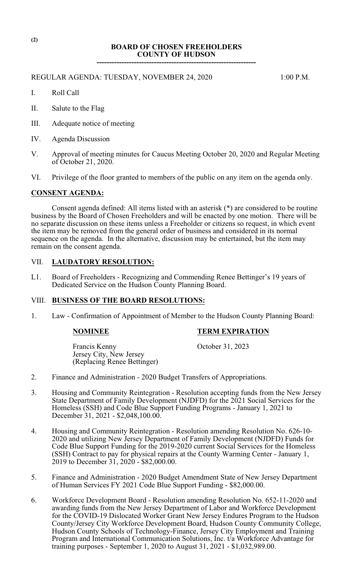# **BOARD OF CHOSEN FREEHOLDERS COUNTY OF HUDSON**

**----------------------------------------------------------------**

## REGULAR AGENDA: TUESDAY, NOVEMBER 24, 2020 1:00 P.M.

- I. Roll Call
- II. Salute to the Flag
- III. Adequate notice of meeting
- IV. Agenda Discussion
- V. Approval of meeting minutes for Caucus Meeting October 20, 2020 and Regular Meeting of October 21, 2020.
- VI. Privilege of the floor granted to members of the public on any item on the agenda only.

## **CONSENT AGENDA:**

Consent agenda defined: All items listed with an asterisk (\*) are considered to be routine business by the Board of Chosen Freeholders and will be enacted by one motion. There will be no separate discussion on these items unless a Freeholder or citizens so request, in which event the item may be removed from the general order of business and considered in its normal sequence on the agenda. In the alternative, discussion may be entertained, but the item may remain on the consent agenda.

## VII. **LAUDATORY RESOLUTION:**

L1. Board of Freeholders - Recognizing and Commending Renee Bettinger's 19 years of Dedicated Service on the Hudson County Planning Board.

### VIII. **BUSINESS OF THE BOARD RESOLUTIONS:**

1. Law - Confirmation of Appointment of Member to the Hudson County Planning Board:

### **NOMINEE TERM EXPIRATION**

Francis Kenny October 31, 2023 Jersey City, New Jersey (Replacing Renee Bettinger)

- 2. Finance and Administration 2020 Budget Transfers of Appropriations.
- 3. Housing and Community Reintegration Resolution accepting funds from the New Jersey State Department of Family Development (NJDFD) for the 2021 Social Services for the Homeless (SSH) and Code Blue Support Funding Programs - January 1, 2021 to December 31, 2021 - \$2,048,100.00.
- 4. Housing and Community Reintegration Resolution amending Resolution No. 626-10- 2020 and utilizing New Jersey Department of Family Development (NJDFD) Funds for Code Blue Support Funding for the 2019-2020 current Social Services for the Homeless (SSH) Contract to pay for physical repairs at the County Warming Center - January 1, 2019 to December 31, 2020 - \$82,000.00.
- 5. Finance and Administration 2020 Budget Amendment State of New Jersey Department of Human Services FY 2021 Code Blue Support Funding - \$82,000.00.
- 6. Workforce Development Board Resolution amending Resolution No. 652-11-2020 and awarding funds from the New Jersey Department of Labor and Workforce Development for the COVID-19 Dislocated Worker Grant New Jersey Endures Program to the Hudson County/Jersey City Workforce Development Board, Hudson County Community College, Hudson County Schools of Technology-Finance, Jersey City Employment and Training Program and International Communication Solutions, Inc. t/a Workforce Advantage for training purposes - September 1, 2020 to August 31, 2021 - \$1,032,989.00.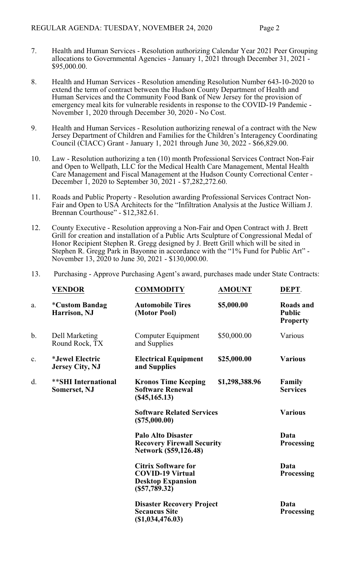- 7. Health and Human Services Resolution authorizing Calendar Year 2021 Peer Grouping allocations to Governmental Agencies - January 1, 2021 through December 31, 2021 -\$95,000.00.
- 8. Health and Human Services Resolution amending Resolution Number 643-10-2020 to extend the term of contract between the Hudson County Department of Health and Human Services and the Community Food Bank of New Jersey for the provision of emergency meal kits for vulnerable residents in response to the COVID-19 Pandemic - November 1, 2020 through December 30, 2020 - No Cost.
- 9. Health and Human Services Resolution authorizing renewal of a contract with the New Jersey Department of Children and Families for the Children's Interagency Coordinating Council (CIACC) Grant - January 1, 2021 through June 30, 2022 - \$66,829.00.
- 10. Law Resolution authorizing a ten (10) month Professional Services Contract Non-Fair and Open to Wellpath, LLC for the Medical Health Care Management, Mental Health Care Management and Fiscal Management at the Hudson County Correctional Center - December 1, 2020 to September 30, 2021 - \$7,282,272.60.
- 11. Roads and Public Property Resolution awarding Professional Services Contract Non-Fair and Open to USA Architects for the "Infiltration Analysis at the Justice William J. Brennan Courthouse" - \$12,382.61.
- 12. County Executive Resolution approving a Non-Fair and Open Contract with J. Brett Grill for creation and installation of a Public Arts Sculpture of Congressional Medal of Honor Recipient Stephen R. Gregg designed by J. Brett Grill which will be sited in Stephen R. Gregg Park in Bayonne in accordance with the "1% Fund for Public Art" - November 13, 2020 to June 30, 2021 - \$130,000.00.
- 13. Purchasing Approve Purchasing Agent's award, purchases made under State Contracts:

|               | <b>VENDOR</b>                                    | <b>COMMODITY</b>                                                                                     | <b>AMOUNT</b>  | DEPT.                                         |
|---------------|--------------------------------------------------|------------------------------------------------------------------------------------------------------|----------------|-----------------------------------------------|
| a.            | <i><b>*Custom Bandag</b></i><br>Harrison, NJ     | <b>Automobile Tires</b><br>(Motor Pool)                                                              | \$5,000.00     | Roads and<br><b>Public</b><br><b>Property</b> |
| $\mathbf b$ . | Dell Marketing<br>Round Rock, TX                 | Computer Equipment<br>and Supplies                                                                   | \$50,000.00    | Various                                       |
| c.            | <i>*Jewel Electric</i><br><b>Jersey City, NJ</b> | <b>Electrical Equipment</b><br>and Supplies                                                          | \$25,000.00    | <b>Various</b>                                |
| d.            | <b>**SHI International</b><br>Somerset, NJ       | <b>Kronos Time Keeping</b><br><b>Software Renewal</b><br>$(\$45,165.13)$                             | \$1,298,388.96 | Family<br><b>Services</b>                     |
|               |                                                  | <b>Software Related Services</b><br>(\$75,000.00)                                                    |                | <b>Various</b>                                |
|               |                                                  | <b>Palo Alto Disaster</b><br><b>Recovery Firewall Security</b><br>Network (\$59,126.48)              |                | Data<br><b>Processing</b>                     |
|               |                                                  | <b>Citrix Software for</b><br><b>COVID-19 Virtual</b><br><b>Desktop Expansion</b><br>$(\$57,789.32)$ |                | Data<br><b>Processing</b>                     |
|               |                                                  | <b>Disaster Recovery Project</b><br><b>Secaucus Site</b><br>(\$1,034,476.03)                         |                | Data<br><b>Processing</b>                     |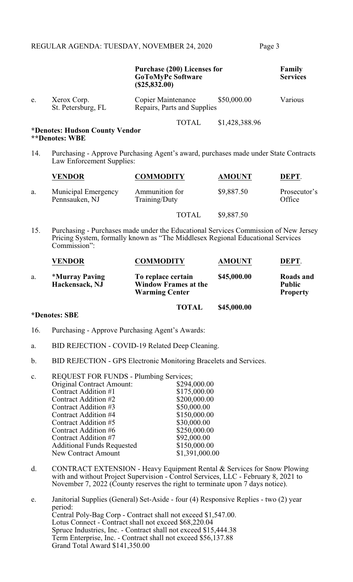|     |                                                                                                                  | <b>Purchase (200) Licenses for</b><br><b>GoToMyPc Software</b><br>(\$25,832.00) |                | Family<br><b>Services</b> |
|-----|------------------------------------------------------------------------------------------------------------------|---------------------------------------------------------------------------------|----------------|---------------------------|
| e.  | Xerox Corp.<br>St. Petersburg, FL                                                                                | \$50,000.00<br>Copier Maintenance<br>Repairs, Parts and Supplies                |                | Various                   |
|     | *Denotes: Hudson County Vendor<br>**Denotes: WBE                                                                 | <b>TOTAL</b>                                                                    | \$1,428,388.96 |                           |
| 14. | Purchasing - Approve Purchasing Agent's award, purchases made under State Contracts<br>Law Enforcement Supplies: |                                                                                 |                |                           |

|    | <b>VENDOR</b>                                | <b>COMMODITY</b>                | <b>AMOUNT</b> | DEPT.                  |
|----|----------------------------------------------|---------------------------------|---------------|------------------------|
| a. | <b>Municipal Emergency</b><br>Pennsauken, NJ | Ammunition for<br>Training/Duty | \$9,887.50    | Prosecutor's<br>Office |
|    |                                              | <b>TOTAL</b>                    | \$9,887.50    |                        |

15. Purchasing - Purchases made under the Educational Services Commission of New Jersey Pricing System, formally known as "The Middlesex Regional Educational Services Commission":

|    | <b>VENDOR</b>                                  | <b>COMMODITY</b>                                                           | <b>AMOUNT</b> | DEPT.                                         |
|----|------------------------------------------------|----------------------------------------------------------------------------|---------------|-----------------------------------------------|
| a. | <i><b>*Murray Paving</b></i><br>Hackensack, NJ | To replace certain<br><b>Window Frames at the</b><br><b>Warming Center</b> | \$45,000.00   | Roads and<br><b>Public</b><br><b>Property</b> |
|    |                                                | <b>TOTAL</b>                                                               | \$45,000.00   |                                               |

## **\*Denotes: SBE**

- 16. Purchasing Approve Purchasing Agent's Awards:
- a. BID REJECTION COVID-19 Related Deep Cleaning.
- b. BID REJECTION GPS Electronic Monitoring Bracelets and Services.

| $\mathbf{c}$ . | <b>REQUEST FOR FUNDS - Plumbing Services;</b> |                |  |
|----------------|-----------------------------------------------|----------------|--|
|                | <b>Original Contract Amount:</b>              | \$294,000.00   |  |
|                | Contract Addition #1                          | \$175,000.00   |  |
|                | Contract Addition #2                          | \$200,000.00   |  |
|                | Contract Addition #3                          | \$50,000.00    |  |
|                | Contract Addition #4                          | \$150,000.00   |  |
|                | Contract Addition #5                          | \$30,000.00    |  |
|                | Contract Addition #6                          | \$250,000.00   |  |
|                | Contract Addition #7                          | \$92,000.00    |  |
|                | <b>Additional Funds Requested</b>             | \$150,000.00   |  |
|                | <b>New Contract Amount</b>                    | \$1,391,000.00 |  |
|                |                                               |                |  |

- d. CONTRACT EXTENSION Heavy Equipment Rental & Services for Snow Plowing with and without Project Supervision - Control Services, LLC - February 8, 2021 to November 7, 2022 (County reserves the right to terminate upon 7 days notice).
- e. Janitorial Supplies (General) Set-Aside four (4) Responsive Replies two (2) year period: Central Poly-Bag Corp - Contract shall not exceed \$1,547.00. Lotus Connect - Contract shall not exceed \$68,220.04 Spruce Industries, Inc. - Contract shall not exceed \$15,444.38 Term Enterprise, Inc. - Contract shall not exceed \$56,137.88 Grand Total Award \$141,350.00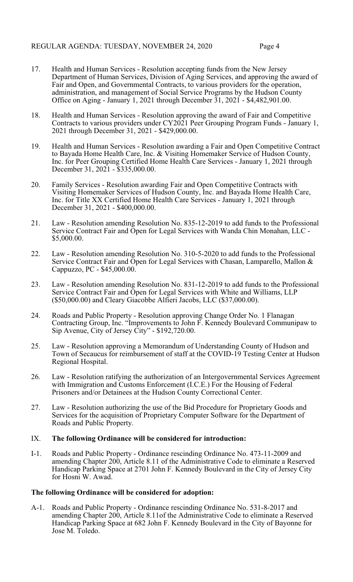- 17. Health and Human Services Resolution accepting funds from the New Jersey Department of Human Services, Division of Aging Services, and approving the award of Fair and Open, and Governmental Contracts, to various providers for the operation, administration, and management of Social Service Programs by the Hudson County Office on Aging - January 1, 2021 through December 31, 2021 - \$4,482,901.00.
- 18. Health and Human Services Resolution approving the award of Fair and Competitive Contracts to various providers under CY2021 Peer Grouping Program Funds - January 1, 2021 through December 31, 2021 - \$429,000.00.
- 19. Health and Human Services Resolution awarding a Fair and Open Competitive Contract to Bayada Home Health Care, Inc. & Visiting Homemaker Service of Hudson County, Inc. for Peer Grouping Certified Home Health Care Services - January 1, 2021 through December 31, 2021 - \$335,000.00.
- 20. Family Services Resolution awarding Fair and Open Competitive Contracts with Visiting Homemaker Services of Hudson County, Inc. and Bayada Home Health Care, Inc. for Title XX Certified Home Health Care Services - January 1, 2021 through December 31, 2021 - \$400,000.00.
- 21. Law Resolution amending Resolution No. 835-12-2019 to add funds to the Professional Service Contract Fair and Open for Legal Services with Wanda Chin Monahan, LLC - \$5,000.00.
- 22. Law Resolution amending Resolution No. 310-5-2020 to add funds to the Professional Service Contract Fair and Open for Legal Services with Chasan, Lamparello, Mallon & Cappuzzo, PC - \$45,000.00.
- 23. Law Resolution amending Resolution No. 831-12-2019 to add funds to the Professional Service Contract Fair and Open for Legal Services with White and Williams, LLP (\$50,000.00) and Cleary Giacobbe Alfieri Jacobs, LLC (\$37,000.00).
- 24. Roads and Public Property Resolution approving Change Order No. 1 Flanagan Contracting Group, Inc. "Improvements to John F. Kennedy Boulevard Communipaw to Sip Avenue, City of Jersey City" - \$192,720.00.
- 25. Law Resolution approving a Memorandum of Understanding County of Hudson and Town of Secaucus for reimbursement of staff at the COVID-19 Testing Center at Hudson Regional Hospital.
- 26. Law Resolution ratifying the authorization of an Intergovernmental Services Agreement with Immigration and Customs Enforcement (I.C.E.) For the Housing of Federal Prisoners and/or Detainees at the Hudson County Correctional Center.
- 27. Law Resolution authorizing the use of the Bid Procedure for Proprietary Goods and Services for the acquisition of Proprietary Computer Software for the Department of Roads and Public Property.

# IX. **The following Ordinance will be considered for introduction:**

I-1. Roads and Public Property - Ordinance rescinding Ordinance No. 473-11-2009 and amending Chapter 200, Article 8.11 of the Administrative Code to eliminate a Reserved Handicap Parking Space at 2701 John F. Kennedy Boulevard in the City of Jersey City for Hosni W. Awad.

## **The following Ordinance will be considered for adoption:**

A-1. Roads and Public Property - Ordinance rescinding Ordinance No. 531-8-2017 and amending Chapter 200, Article 8.11of the Administrative Code to eliminate a Reserved Handicap Parking Space at 682 John F. Kennedy Boulevard in the City of Bayonne for Jose M. Toledo.